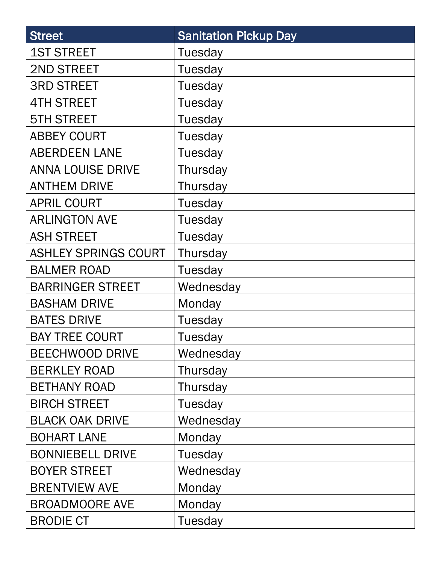| <b>Street</b>               | <b>Sanitation Pickup Day</b> |
|-----------------------------|------------------------------|
| <b>1ST STREET</b>           | Tuesday                      |
| 2ND STREET                  | Tuesday                      |
| <b>3RD STREET</b>           | Tuesday                      |
| <b>4TH STREET</b>           | <b>Tuesday</b>               |
| <b>5TH STREET</b>           | <b>Tuesday</b>               |
| <b>ABBEY COURT</b>          | Tuesday                      |
| <b>ABERDEEN LANE</b>        | Tuesday                      |
| <b>ANNA LOUISE DRIVE</b>    | Thursday                     |
| <b>ANTHEM DRIVE</b>         | Thursday                     |
| <b>APRIL COURT</b>          | Tuesday                      |
| <b>ARLINGTON AVE</b>        | Tuesday                      |
| <b>ASH STREET</b>           | Tuesday                      |
| <b>ASHLEY SPRINGS COURT</b> | Thursday                     |
| <b>BALMER ROAD</b>          | Tuesday                      |
| <b>BARRINGER STREET</b>     | Wednesday                    |
| <b>BASHAM DRIVE</b>         | Monday                       |
| <b>BATES DRIVE</b>          | Tuesday                      |
| <b>BAY TREE COURT</b>       | Tuesday                      |
| <b>BEECHWOOD DRIVE</b>      | Wednesday                    |
| <b>BERKLEY ROAD</b>         | Thursday                     |
| <b>BETHANY ROAD</b>         | Thursday                     |
| <b>BIRCH STREET</b>         | Tuesday                      |
| <b>BLACK OAK DRIVE</b>      | Wednesday                    |
| <b>BOHART LANE</b>          | Monday                       |
| <b>BONNIEBELL DRIVE</b>     | Tuesday                      |
| <b>BOYER STREET</b>         | Wednesday                    |
| <b>BRENTVIEW AVE</b>        | Monday                       |
| <b>BROADMOORE AVE</b>       | Monday                       |
| <b>BRODIE CT</b>            | Tuesday                      |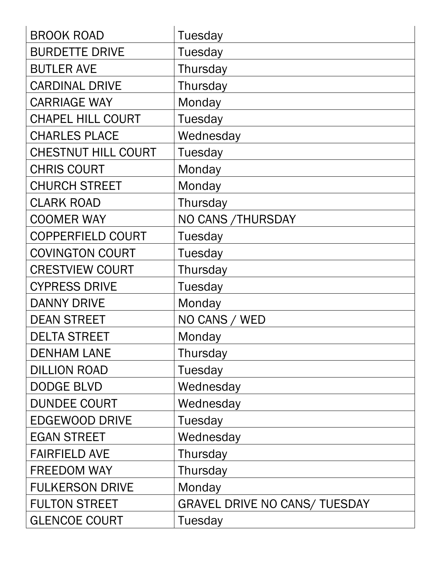| <b>BROOK ROAD</b>          | <b>Tuesday</b>                       |
|----------------------------|--------------------------------------|
| <b>BURDETTE DRIVE</b>      | Tuesday                              |
| <b>BUTLER AVE</b>          | Thursday                             |
| <b>CARDINAL DRIVE</b>      | Thursday                             |
| <b>CARRIAGE WAY</b>        | Monday                               |
| <b>CHAPEL HILL COURT</b>   | Tuesday                              |
| <b>CHARLES PLACE</b>       | Wednesday                            |
| <b>CHESTNUT HILL COURT</b> | Tuesday                              |
| <b>CHRIS COURT</b>         | Monday                               |
| <b>CHURCH STREET</b>       | Monday                               |
| <b>CLARK ROAD</b>          | Thursday                             |
| <b>COOMER WAY</b>          | NO CANS / THURSDAY                   |
| <b>COPPERFIELD COURT</b>   | Tuesday                              |
| <b>COVINGTON COURT</b>     | Tuesday                              |
| <b>CRESTVIEW COURT</b>     | Thursday                             |
| <b>CYPRESS DRIVE</b>       | Tuesday                              |
| <b>DANNY DRIVE</b>         | Monday                               |
| <b>DEAN STREET</b>         | NO CANS / WED                        |
| <b>DELTA STREET</b>        | Monday                               |
| <b>DENHAM LANE</b>         | Thursday                             |
| <b>DILLION ROAD</b>        | Tuesday                              |
| <b>DODGE BLVD</b>          | Wednesday                            |
| <b>DUNDEE COURT</b>        | Wednesday                            |
| <b>EDGEWOOD DRIVE</b>      | Tuesday                              |
| <b>EGAN STREET</b>         | Wednesday                            |
| <b>FAIRFIELD AVE</b>       | Thursday                             |
| FREEDOM WAY                | Thursday                             |
| <b>FULKERSON DRIVE</b>     | Monday                               |
| <b>FULTON STREET</b>       | <b>GRAVEL DRIVE NO CANS/ TUESDAY</b> |
| <b>GLENCOE COURT</b>       | Tuesday                              |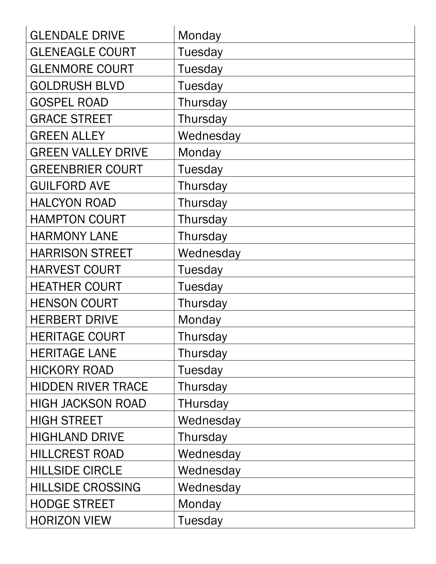| <b>GLENDALE DRIVE</b>     | Monday          |
|---------------------------|-----------------|
| <b>GLENEAGLE COURT</b>    | <b>Tuesday</b>  |
| <b>GLENMORE COURT</b>     | <b>Tuesday</b>  |
| <b>GOLDRUSH BLVD</b>      | <b>Tuesday</b>  |
| <b>GOSPEL ROAD</b>        | Thursday        |
| <b>GRACE STREET</b>       | Thursday        |
| <b>GREEN ALLEY</b>        | Wednesday       |
| <b>GREEN VALLEY DRIVE</b> | Monday          |
| <b>GREENBRIER COURT</b>   | Tuesday         |
| <b>GUILFORD AVE</b>       | Thursday        |
| <b>HALCYON ROAD</b>       | Thursday        |
| <b>HAMPTON COURT</b>      | Thursday        |
| <b>HARMONY LANE</b>       | Thursday        |
| <b>HARRISON STREET</b>    | Wednesday       |
| <b>HARVEST COURT</b>      | <b>Tuesday</b>  |
| <b>HEATHER COURT</b>      | <b>Tuesday</b>  |
| <b>HENSON COURT</b>       | Thursday        |
| <b>HERBERT DRIVE</b>      | Monday          |
| <b>HERITAGE COURT</b>     | Thursday        |
| <b>HERITAGE LANE</b>      | Thursday        |
| <b>HICKORY ROAD</b>       | Tuesday         |
| <b>HIDDEN RIVER TRACE</b> | Thursday        |
| <b>HIGH JACKSON ROAD</b>  | <b>THursday</b> |
| <b>HIGH STREET</b>        | Wednesday       |
| <b>HIGHLAND DRIVE</b>     | Thursday        |
| <b>HILLCREST ROAD</b>     | Wednesday       |
| <b>HILLSIDE CIRCLE</b>    | Wednesday       |
| <b>HILLSIDE CROSSING</b>  | Wednesday       |
| <b>HODGE STREET</b>       | Monday          |
| <b>HORIZON VIEW</b>       | Tuesday         |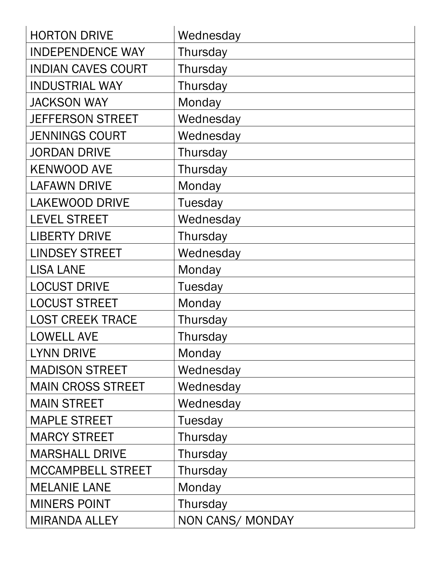| <b>HORTON DRIVE</b>       | Wednesday        |
|---------------------------|------------------|
| <b>INDEPENDENCE WAY</b>   | Thursday         |
| <b>INDIAN CAVES COURT</b> | Thursday         |
| <b>INDUSTRIAL WAY</b>     | Thursday         |
| <b>JACKSON WAY</b>        | Monday           |
| <b>JEFFERSON STREET</b>   | Wednesday        |
| <b>JENNINGS COURT</b>     | Wednesday        |
| <b>JORDAN DRIVE</b>       | Thursday         |
| <b>KENWOOD AVE</b>        | Thursday         |
| <b>LAFAWN DRIVE</b>       | Monday           |
| <b>LAKEWOOD DRIVE</b>     | Tuesday          |
| <b>LEVEL STREET</b>       | Wednesday        |
| <b>LIBERTY DRIVE</b>      | Thursday         |
| <b>LINDSEY STREET</b>     | Wednesday        |
| <b>LISA LANE</b>          | Monday           |
| <b>LOCUST DRIVE</b>       | Tuesday          |
| <b>LOCUST STREET</b>      | Monday           |
| <b>LOST CREEK TRACE</b>   | Thursday         |
| <b>LOWELL AVE</b>         | Thursday         |
| <b>LYNN DRIVE</b>         | Monday           |
| <b>MADISON STREET</b>     | Wednesday        |
| <b>MAIN CROSS STREET</b>  | Wednesday        |
| <b>MAIN STREET</b>        | Wednesday        |
| <b>MAPLE STREET</b>       | Tuesday          |
| <b>MARCY STREET</b>       | Thursday         |
| <b>MARSHALL DRIVE</b>     | Thursday         |
| <b>MCCAMPBELL STREET</b>  | Thursday         |
| <b>MELANIE LANE</b>       | Monday           |
| <b>MINERS POINT</b>       | Thursday         |
| <b>MIRANDA ALLEY</b>      | NON CANS/ MONDAY |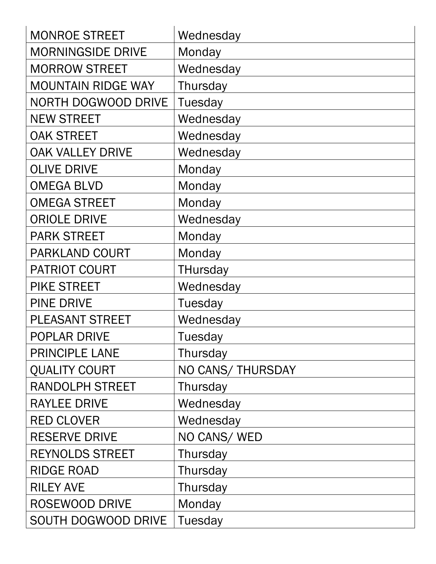| <b>MONROE STREET</b>       | Wednesday         |
|----------------------------|-------------------|
| <b>MORNINGSIDE DRIVE</b>   | Monday            |
| <b>MORROW STREET</b>       | Wednesday         |
| <b>MOUNTAIN RIDGE WAY</b>  | Thursday          |
| <b>NORTH DOGWOOD DRIVE</b> | Tuesday           |
| <b>NEW STREET</b>          | Wednesday         |
| <b>OAK STREET</b>          | Wednesday         |
| <b>OAK VALLEY DRIVE</b>    | Wednesday         |
| <b>OLIVE DRIVE</b>         | Monday            |
| <b>OMEGA BLVD</b>          | Monday            |
| <b>OMEGA STREET</b>        | Monday            |
| <b>ORIOLE DRIVE</b>        | Wednesday         |
| <b>PARK STREET</b>         | Monday            |
| <b>PARKLAND COURT</b>      | Monday            |
| <b>PATRIOT COURT</b>       | <b>THursday</b>   |
| <b>PIKE STREET</b>         | Wednesday         |
| <b>PINE DRIVE</b>          | Tuesday           |
| <b>PLEASANT STREET</b>     | Wednesday         |
| <b>POPLAR DRIVE</b>        | Tuesday           |
| <b>PRINCIPLE LANE</b>      | Thursday          |
| <b>QUALITY COURT</b>       | NO CANS/ THURSDAY |
| <b>RANDOLPH STREET</b>     | Thursday          |
| <b>RAYLEE DRIVE</b>        | Wednesday         |
| <b>RED CLOVER</b>          | Wednesday         |
| <b>RESERVE DRIVE</b>       | NO CANS/ WED      |
| <b>REYNOLDS STREET</b>     | Thursday          |
| <b>RIDGE ROAD</b>          | Thursday          |
| <b>RILEY AVE</b>           | Thursday          |
| <b>ROSEWOOD DRIVE</b>      | Monday            |
| SOUTH DOGWOOD DRIVE        | Tuesday           |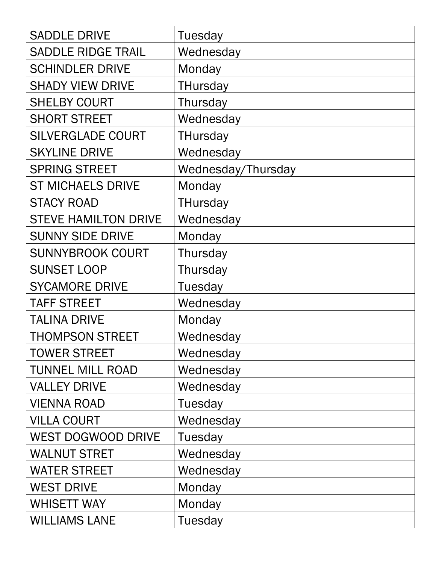| <b>SADDLE DRIVE</b>         | <b>Tuesday</b>     |
|-----------------------------|--------------------|
| <b>SADDLE RIDGE TRAIL</b>   | Wednesday          |
| <b>SCHINDLER DRIVE</b>      | Monday             |
| <b>SHADY VIEW DRIVE</b>     | <b>THursday</b>    |
| <b>SHELBY COURT</b>         | Thursday           |
| <b>SHORT STREET</b>         | Wednesday          |
| <b>SILVERGLADE COURT</b>    | <b>THursday</b>    |
| <b>SKYLINE DRIVE</b>        | Wednesday          |
| <b>SPRING STREET</b>        | Wednesday/Thursday |
| <b>ST MICHAELS DRIVE</b>    | Monday             |
| <b>STACY ROAD</b>           | <b>THursday</b>    |
| <b>STEVE HAMILTON DRIVE</b> | Wednesday          |
| <b>SUNNY SIDE DRIVE</b>     | Monday             |
| <b>SUNNYBROOK COURT</b>     | Thursday           |
| <b>SUNSET LOOP</b>          | Thursday           |
| <b>SYCAMORE DRIVE</b>       | Tuesday            |
| <b>TAFF STREET</b>          | Wednesday          |
| <b>TALINA DRIVE</b>         | Monday             |
| <b>THOMPSON STREET</b>      | Wednesday          |
| <b>TOWER STREET</b>         | Wednesday          |
| <b>TUNNEL MILL ROAD</b>     | Wednesday          |
| <b>VALLEY DRIVE</b>         | Wednesday          |
| <b>VIENNA ROAD</b>          | Tuesday            |
| <b>VILLA COURT</b>          | Wednesday          |
| <b>WEST DOGWOOD DRIVE</b>   | <b>Tuesday</b>     |
| <b>WALNUT STRET</b>         | Wednesday          |
| <b>WATER STREET</b>         | Wednesday          |
| <b>WEST DRIVE</b>           | Monday             |
| <b>WHISETT WAY</b>          | Monday             |
| <b>WILLIAMS LANE</b>        | Tuesday            |